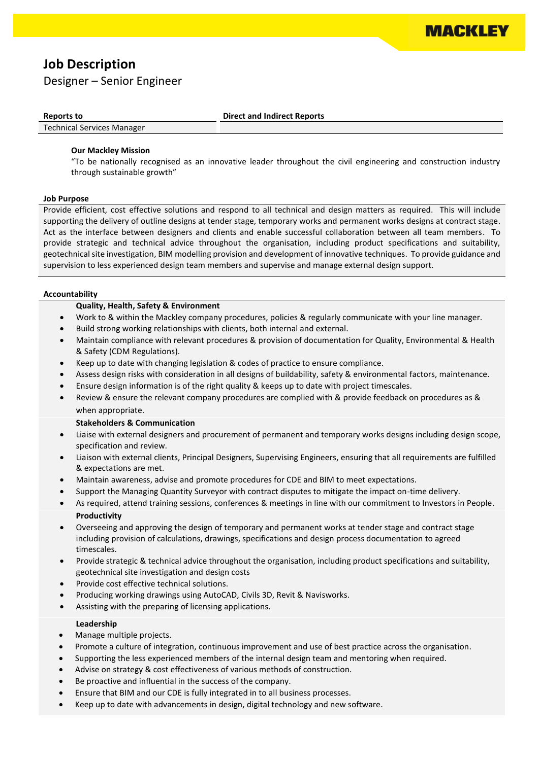

# **Job Description**

# Designer – Senior Engineer

**Reports to Direct and Indirect Reports**

## Technical Services Manager

#### **Our Mackley Mission**

"To be nationally recognised as an innovative leader throughout the civil engineering and construction industry through sustainable growth"

#### **Job Purpose**

Provide efficient, cost effective solutions and respond to all technical and design matters as required. This will include supporting the delivery of outline designs at tender stage, temporary works and permanent works designs at contract stage. Act as the interface between designers and clients and enable successful collaboration between all team members. To provide strategic and technical advice throughout the organisation, including product specifications and suitability, geotechnical site investigation, BIM modelling provision and development of innovative techniques. To provide guidance and supervision to less experienced design team members and supervise and manage external design support.

#### **Accountability**

#### **Quality, Health, Safety & Environment**

- Work to & within the Mackley company procedures, policies & regularly communicate with your line manager.
- Build strong working relationships with clients, both internal and external.
- Maintain compliance with relevant procedures & provision of documentation for Quality, Environmental & Health & Safety (CDM Regulations).
- Keep up to date with changing legislation & codes of practice to ensure compliance.
- Assess design risks with consideration in all designs of buildability, safety & environmental factors, maintenance.
- Ensure design information is of the right quality & keeps up to date with project timescales.
- Review & ensure the relevant company procedures are complied with & provide feedback on procedures as & when appropriate.

### **Stakeholders & Communication**

- Liaise with external designers and procurement of permanent and temporary works designs including design scope, specification and review.
- Liaison with external clients, Principal Designers, Supervising Engineers, ensuring that all requirements are fulfilled & expectations are met.
- Maintain awareness, advise and promote procedures for CDE and BIM to meet expectations.
- Support the Managing Quantity Surveyor with contract disputes to mitigate the impact on-time delivery.
- As required, attend training sessions, conferences & meetings in line with our commitment to Investors in People. **Productivity**
- Overseeing and approving the design of temporary and permanent works at tender stage and contract stage including provision of calculations, drawings, specifications and design process documentation to agreed timescales.
- Provide strategic & technical advice throughout the organisation, including product specifications and suitability, geotechnical site investigation and design costs
- Provide cost effective technical solutions.
- Producing working drawings using AutoCAD, Civils 3D, Revit & Navisworks.
- Assisting with the preparing of licensing applications.

#### **Leadership**

- Manage multiple projects.
- Promote a culture of integration, continuous improvement and use of best practice across the organisation.
- Supporting the less experienced members of the internal design team and mentoring when required.
- Advise on strategy & cost effectiveness of various methods of construction.
- Be proactive and influential in the success of the company.
- Ensure that BIM and our CDE is fully integrated in to all business processes.
- Keep up to date with advancements in design, digital technology and new software.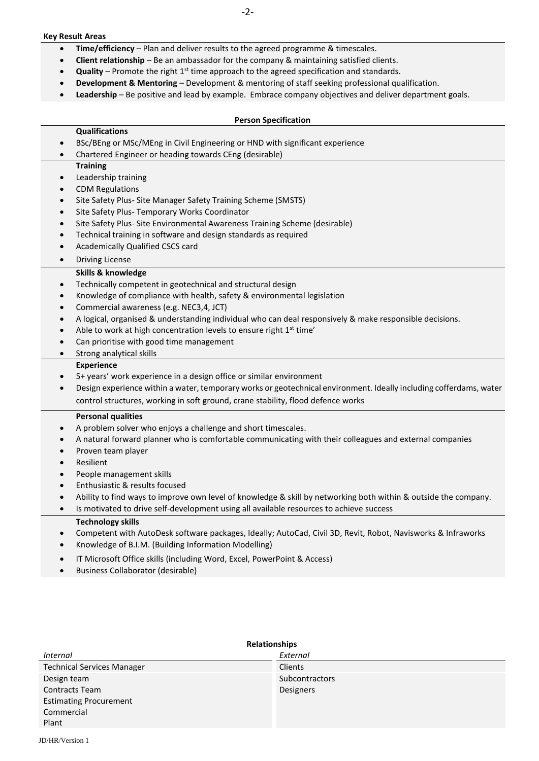#### **Key Result Areas**

- **Time/efficiency** Plan and deliver results to the agreed programme & timescales.
- **Client relationship** Be an ambassador for the company & maintaining satisfied clients.
- **Quality** Promote the right 1<sup>st</sup> time approach to the agreed specification and standards.
- **Development & Mentoring** Development & mentoring of staff seeking professional qualification.
- **Leadership** Be positive and lead by example. Embrace company objectives and deliver department goals.

#### **Person Specification**

#### **Qualifications**

- BSc/BEng or MSc/MEng in Civil Engineering or HND with significant experience
- Chartered Engineer or heading towards CEng (desirable)

#### **Training**

- Leadership training
- CDM Regulations
- Site Safety Plus- Site Manager Safety Training Scheme (SMSTS)
- Site Safety Plus- Temporary Works Coordinator
- Site Safety Plus- Site Environmental Awareness Training Scheme (desirable)
- Technical training in software and design standards as required
- Academically Qualified CSCS card
- Driving License

#### **Skills & knowledge**

- Technically competent in geotechnical and structural design
- Knowledge of compliance with health, safety & environmental legislation
- Commercial awareness (e.g. NEC3,4, JCT)
- A logical, organised & understanding individual who can deal responsively & make responsible decisions.
- Able to work at high concentration levels to ensure right  $1<sup>st</sup>$  time'
- Can prioritise with good time management
- Strong analytical skills

#### **Experience**

- 5+ years' work experience in a design office or similar environment
- Design experience within a water, temporary works or geotechnical environment. Ideally including cofferdams, water control structures, working in soft ground, crane stability, flood defence works

#### **Personal qualities**

- A problem solver who enjoys a challenge and short timescales.
- A natural forward planner who is comfortable communicating with their colleagues and external companies
- Proven team player
- **Resilient**
- People management skills
- Enthusiastic & results focused
- Ability to find ways to improve own level of knowledge & skill by networking both within & outside the company.
- Is motivated to drive self-development using all available resources to achieve success

#### **Technology skills**

- Competent with AutoDesk software packages, Ideally; AutoCad, Civil 3D, Revit, Robot, Navisworks & Infraworks
- Knowledge of B.I.M. (Building Information Modelling)
- IT Microsoft Office skills (including Word, Excel, PowerPoint & Access)
- Business Collaborator (desirable)

| <b>Relationships</b>              |                       |
|-----------------------------------|-----------------------|
| Internal                          | External              |
| <b>Technical Services Manager</b> | Clients               |
| Design team                       | <b>Subcontractors</b> |
| <b>Contracts Team</b>             | Designers             |
| <b>Estimating Procurement</b>     |                       |
| Commercial                        |                       |
| Plant                             |                       |